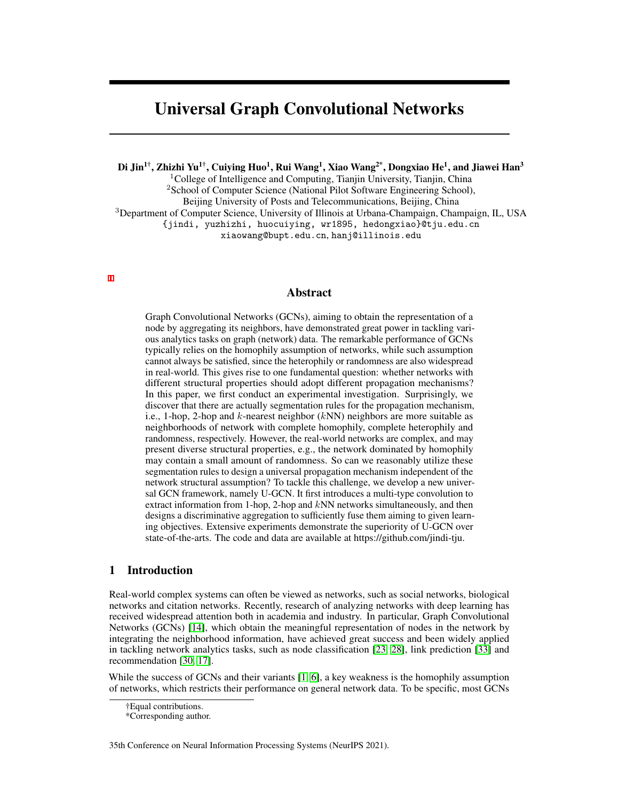# Universal Graph Convolutional Networks

Di Jin<sup>1†</sup>, Zhizhi Yu<sup>1†</sup>, Cuiying Huo<sup>1</sup>, Rui Wang<sup>1</sup>, Xiao Wang<sup>2\*</sup>, Dongxiao He<sup>1</sup>, and Jiawei Han<sup>3</sup>

<sup>1</sup>College of Intelligence and Computing, Tianjin University, Tianjin, China <sup>2</sup>School of Computer Science (National Pilot Software Engineering School), Beijing University of Posts and Telecommunications, Beijing, China <sup>3</sup>Department of Computer Science, University of Illinois at Urbana-Champaign, Champaign, IL, USA

{jindi, yuzhizhi, huocuiying, wr1895, hedongxiao}@tju.edu.cn

xiaowang@bupt.edu.cn, hanj@illinois.edu

### Abstract

Graph Convolutional Networks (GCNs), aiming to obtain the representation of a node by aggregating its neighbors, have demonstrated great power in tackling various analytics tasks on graph (network) data. The remarkable performance of GCNs typically relies on the homophily assumption of networks, while such assumption cannot always be satisfied, since the heterophily or randomness are also widespread in real-world. This gives rise to one fundamental question: whether networks with different structural properties should adopt different propagation mechanisms? In this paper, we first conduct an experimental investigation. Surprisingly, we discover that there are actually segmentation rules for the propagation mechanism, i.e., 1-hop, 2-hop and  $k$ -nearest neighbor ( $kNN$ ) neighbors are more suitable as neighborhoods of network with complete homophily, complete heterophily and randomness, respectively. However, the real-world networks are complex, and may present diverse structural properties, e.g., the network dominated by homophily may contain a small amount of randomness. So can we reasonably utilize these segmentation rules to design a universal propagation mechanism independent of the network structural assumption? To tackle this challenge, we develop a new universal GCN framework, namely U-GCN. It first introduces a multi-type convolution to extract information from 1-hop, 2-hop and  $kNN$  networks simultaneously, and then designs a discriminative aggregation to sufficiently fuse them aiming to given learning objectives. Extensive experiments demonstrate the superiority of U-GCN over state-of-the-arts. The code and data are available at https://github.com/jindi-tju.

## 1 Introduction

Real-world complex systems can often be viewed as networks, such as social networks, biological networks and citation networks. Recently, research of analyzing networks with deep learning has received widespread attention both in academia and industry. In particular, Graph Convolutional Networks (GCNs) [\[14\]](#page-9-0), which obtain the meaningful representation of nodes in the network by integrating the neighborhood information, have achieved great success and been widely applied in tackling network analytics tasks, such as node classification [\[23,](#page-10-0) [28\]](#page-10-1), link prediction [\[33\]](#page-10-2) and recommendation [\[30,](#page-10-3) [17\]](#page-10-4).

While the success of GCNs and their variants [\[1,](#page-9-1) [6\]](#page-9-2), a key weakness is the homophily assumption of networks, which restricts their performance on general network data. To be specific, most GCNs

35th Conference on Neural Information Processing Systems (NeurIPS 2021).

<sup>†</sup>Equal contributions.

<sup>\*</sup>Corresponding author.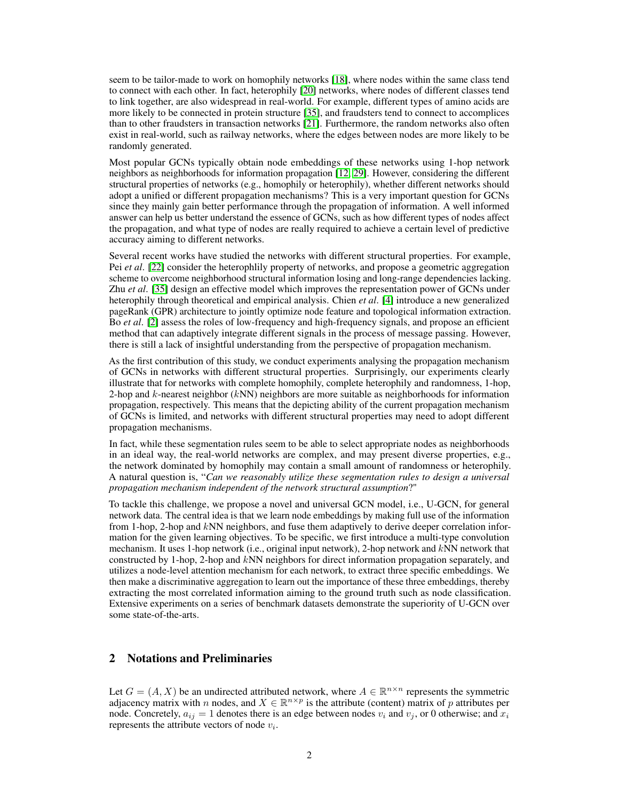seem to be tailor-made to work on homophily networks [\[18\]](#page-10-5), where nodes within the same class tend to connect with each other. In fact, heterophily [\[20\]](#page-10-6) networks, where nodes of different classes tend to link together, are also widespread in real-world. For example, different types of amino acids are more likely to be connected in protein structure [\[35\]](#page-10-7), and fraudsters tend to connect to accomplices than to other fraudsters in transaction networks [\[21\]](#page-10-8). Furthermore, the random networks also often exist in real-world, such as railway networks, where the edges between nodes are more likely to be randomly generated.

Most popular GCNs typically obtain node embeddings of these networks using 1-hop network neighbors as neighborhoods for information propagation [\[12,](#page-9-3) [29\]](#page-10-9). However, considering the different structural properties of networks (e.g., homophily or heterophily), whether different networks should adopt a unified or different propagation mechanisms? This is a very important question for GCNs since they mainly gain better performance through the propagation of information. A well informed answer can help us better understand the essence of GCNs, such as how different types of nodes affect the propagation, and what type of nodes are really required to achieve a certain level of predictive accuracy aiming to different networks.

Several recent works have studied the networks with different structural properties. For example, Pei *et al*. [\[22\]](#page-10-10) consider the heterophlily property of networks, and propose a geometric aggregation scheme to overcome neighborhood structural information losing and long-range dependencies lacking. Zhu *et al*. [\[35\]](#page-10-7) design an effective model which improves the representation power of GCNs under heterophily through theoretical and empirical analysis. Chien *et al*. [\[4\]](#page-9-4) introduce a new generalized pageRank (GPR) architecture to jointly optimize node feature and topological information extraction. Bo *et al*. [\[2\]](#page-9-5) assess the roles of low-frequency and high-frequency signals, and propose an efficient method that can adaptively integrate different signals in the process of message passing. However, there is still a lack of insightful understanding from the perspective of propagation mechanism.

As the first contribution of this study, we conduct experiments analysing the propagation mechanism of GCNs in networks with different structural properties. Surprisingly, our experiments clearly illustrate that for networks with complete homophily, complete heterophily and randomness, 1-hop, 2-hop and k-nearest neighbor  $(kNN)$  neighbors are more suitable as neighborhoods for information propagation, respectively. This means that the depicting ability of the current propagation mechanism of GCNs is limited, and networks with different structural properties may need to adopt different propagation mechanisms.

In fact, while these segmentation rules seem to be able to select appropriate nodes as neighborhoods in an ideal way, the real-world networks are complex, and may present diverse properties, e.g., the network dominated by homophily may contain a small amount of randomness or heterophily. A natural question is, "*Can we reasonably utilize these segmentation rules to design a universal propagation mechanism independent of the network structural assumption*?"

To tackle this challenge, we propose a novel and universal GCN model, i.e., U-GCN, for general network data. The central idea is that we learn node embeddings by making full use of the information from 1-hop, 2-hop and kNN neighbors, and fuse them adaptively to derive deeper correlation information for the given learning objectives. To be specific, we first introduce a multi-type convolution mechanism. It uses 1-hop network (i.e., original input network), 2-hop network and kNN network that constructed by 1-hop, 2-hop and kNN neighbors for direct information propagation separately, and utilizes a node-level attention mechanism for each network, to extract three specific embeddings. We then make a discriminative aggregation to learn out the importance of these three embeddings, thereby extracting the most correlated information aiming to the ground truth such as node classification. Extensive experiments on a series of benchmark datasets demonstrate the superiority of U-GCN over some state-of-the-arts.

# 2 Notations and Preliminaries

Let  $G = (A, X)$  be an undirected attributed network, where  $A \in \mathbb{R}^{n \times n}$  represents the symmetric adjacency matrix with n nodes, and  $X \in \mathbb{R}^{n \times p}$  is the attribute (content) matrix of p attributes per node. Concretely,  $a_{ij} = 1$  denotes there is an edge between nodes  $v_i$  and  $v_j$ , or 0 otherwise; and  $x_i$ represents the attribute vectors of node  $v_i$ .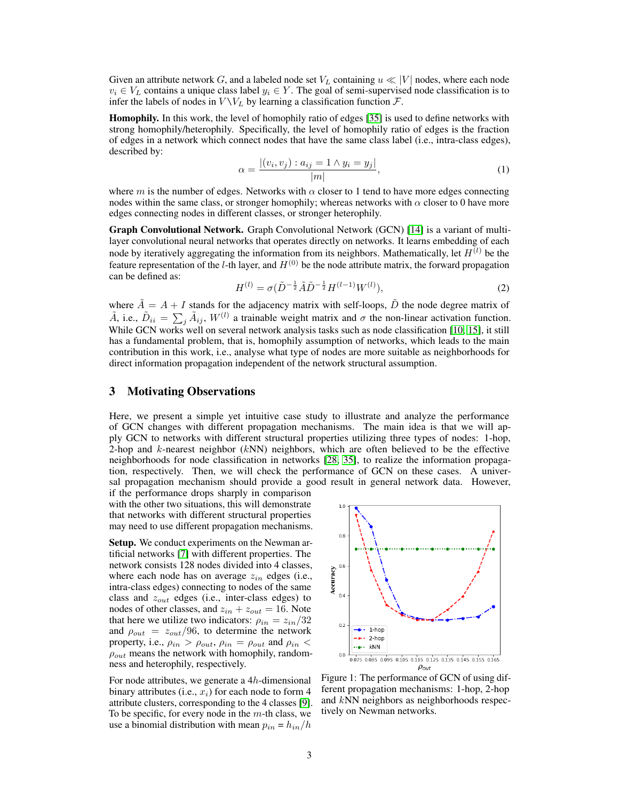Given an attribute network G, and a labeled node set  $V_L$  containing  $u \ll |V|$  nodes, where each node  $v_i \in V_L$  contains a unique class label  $y_i \in Y$ . The goal of semi-supervised node classification is to infer the labels of nodes in  $V \backslash V_L$  by learning a classification function  $\mathcal{F}$ .

Homophily. In this work, the level of homophily ratio of edges [\[35\]](#page-10-7) is used to define networks with strong homophily/heterophily. Specifically, the level of homophily ratio of edges is the fraction of edges in a network which connect nodes that have the same class label (i.e., intra-class edges), described by:

$$
\alpha = \frac{|(v_i, v_j) : a_{ij} = 1 \land y_i = y_j|}{|m|},
$$
\n(1)

where m is the number of edges. Networks with  $\alpha$  closer to 1 tend to have more edges connecting nodes within the same class, or stronger homophily; whereas networks with  $\alpha$  closer to 0 have more edges connecting nodes in different classes, or stronger heterophily.

Graph Convolutional Network. Graph Convolutional Network (GCN) [\[14\]](#page-9-0) is a variant of multilayer convolutional neural networks that operates directly on networks. It learns embedding of each node by iteratively aggregating the information from its neighbors. Mathematically, let  $H^{(l)}$  be the feature representation of the l-th layer, and  $H^{(0)}$  be the node attribute matrix, the forward propagation can be defined as:

$$
H^{(l)} = \sigma(\tilde{D}^{-\frac{1}{2}}\tilde{A}\tilde{D}^{-\frac{1}{2}}H^{(l-1)}W^{(l)}),\tag{2}
$$

where  $\tilde{A} = A + I$  stands for the adjacency matrix with self-loops,  $\tilde{D}$  the node degree matrix of  $\tilde{A}$ , i.e.,  $\tilde{D}_{ii} = \sum_j \tilde{A}_{ij}$ ,  $W^{(l)}$  a trainable weight matrix and  $\sigma$  the non-linear activation function. While GCN works well on several network analysis tasks such as node classification [\[10,](#page-9-6) [15\]](#page-9-7), it still has a fundamental problem, that is, homophily assumption of networks, which leads to the main contribution in this work, i.e., analyse what type of nodes are more suitable as neighborhoods for direct information propagation independent of the network structural assumption.

### 3 Motivating Observations

Here, we present a simple yet intuitive case study to illustrate and analyze the performance of GCN changes with different propagation mechanisms. The main idea is that we will apply GCN to networks with different structural properties utilizing three types of nodes: 1-hop, 2-hop and  $k$ -nearest neighbor ( $kNN$ ) neighbors, which are often believed to be the effective neighborhoods for node classification in networks [\[28,](#page-10-1) [35\]](#page-10-7), to realize the information propagation, respectively. Then, we will check the performance of GCN on these cases. A universal propagation mechanism should provide a good result in general network data. However,

if the performance drops sharply in comparison with the other two situations, this will demonstrate that networks with different structural properties may need to use different propagation mechanisms.

Setup. We conduct experiments on the Newman artificial networks [\[7\]](#page-9-8) with different properties. The network consists 128 nodes divided into 4 classes, where each node has on average  $z_{in}$  edges (i.e., intra-class edges) connecting to nodes of the same class and  $z_{out}$  edges (i.e., inter-class edges) to nodes of other classes, and  $z_{in} + z_{out} = 16$ . Note that here we utilize two indicators:  $\rho_{in} = z_{in}/32$ and  $\rho_{out} = z_{out}/96$ , to determine the network property, i.e.,  $\rho_{in} > \rho_{out}$ ,  $\rho_{in} = \rho_{out}$  and  $\rho_{in}$  $\rho_{out}$  means the network with homophily, randomness and heterophily, respectively.

For node attributes, we generate a 4h-dimensional binary attributes (i.e.,  $x_i$ ) for each node to form 4 attribute clusters, corresponding to the 4 classes [\[9\]](#page-9-9). To be specific, for every node in the  $m$ -th class, we use a binomial distribution with mean  $p_{in} = h_{in}/h$ 



Figure 1: The performance of GCN of using different propagation mechanisms: 1-hop, 2-hop and kNN neighbors as neighborhoods respectively on Newman networks.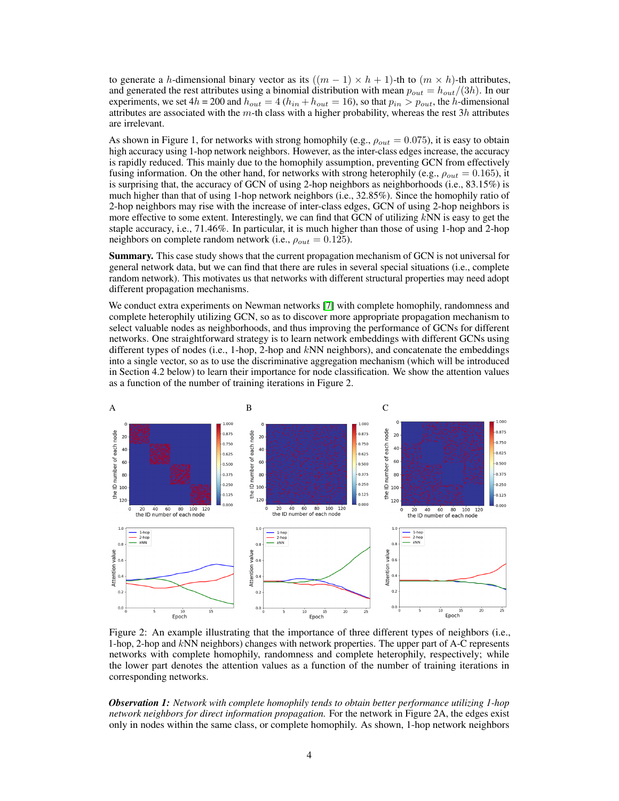to generate a h-dimensional binary vector as its  $((m - 1) \times h + 1)$ -th to  $(m \times h)$ -th attributes, and generated the rest attributes using a binomial distribution with mean  $p_{out} = h_{out}/(3h)$ . In our experiments, we set  $4h = 200$  and  $h_{out} = 4$  ( $h_{in} + h_{out} = 16$ ), so that  $p_{in} > p_{out}$ , the h-dimensional attributes are associated with the m-th class with a higher probability, whereas the rest  $3h$  attributes are irrelevant.

As shown in Figure 1, for networks with strong homophily (e.g.,  $\rho_{out} = 0.075$ ), it is easy to obtain high accuracy using 1-hop network neighbors. However, as the inter-class edges increase, the accuracy is rapidly reduced. This mainly due to the homophily assumption, preventing GCN from effectively fusing information. On the other hand, for networks with strong heterophily (e.g.,  $\rho_{out} = 0.165$ ), it is surprising that, the accuracy of GCN of using 2-hop neighbors as neighborhoods (i.e., 83.15%) is much higher than that of using 1-hop network neighbors (i.e., 32.85%). Since the homophily ratio of 2-hop neighbors may rise with the increase of inter-class edges, GCN of using 2-hop neighbors is more effective to some extent. Interestingly, we can find that GCN of utilizing  $kNN$  is easy to get the staple accuracy, i.e., 71.46%. In particular, it is much higher than those of using 1-hop and 2-hop neighbors on complete random network (i.e.,  $\rho_{out} = 0.125$ ).

Summary. This case study shows that the current propagation mechanism of GCN is not universal for general network data, but we can find that there are rules in several special situations (i.e., complete random network). This motivates us that networks with different structural properties may need adopt different propagation mechanisms.

We conduct extra experiments on Newman networks [\[7\]](#page-9-8) with complete homophily, randomness and complete heterophily utilizing GCN, so as to discover more appropriate propagation mechanism to select valuable nodes as neighborhoods, and thus improving the performance of GCNs for different networks. One straightforward strategy is to learn network embeddings with different GCNs using different types of nodes (i.e., 1-hop, 2-hop and kNN neighbors), and concatenate the embeddings into a single vector, so as to use the discriminative aggregation mechanism (which will be introduced in Section 4.2 below) to learn their importance for node classification. We show the attention values as a function of the number of training iterations in Figure 2.



Figure 2: An example illustrating that the importance of three different types of neighbors (i.e., 1-hop, 2-hop and kNN neighbors) changes with network properties. The upper part of A-C represents networks with complete homophily, randomness and complete heterophily, respectively; while the lower part denotes the attention values as a function of the number of training iterations in corresponding networks.

*Observation 1: Network with complete homophily tends to obtain better performance utilizing 1-hop network neighbors for direct information propagation.* For the network in Figure 2A, the edges exist only in nodes within the same class, or complete homophily. As shown, 1-hop network neighbors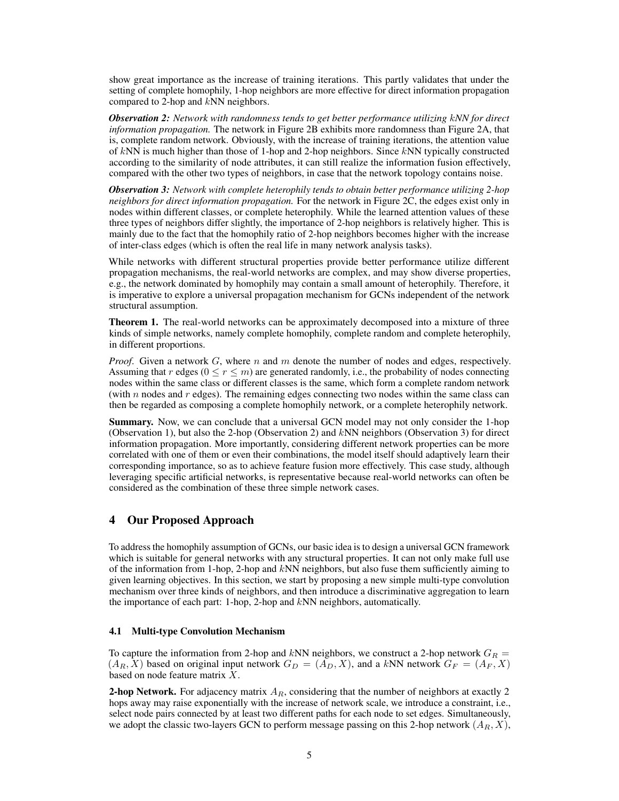show great importance as the increase of training iterations. This partly validates that under the setting of complete homophily, 1-hop neighbors are more effective for direct information propagation compared to 2-hop and kNN neighbors.

*Observation 2: Network with randomness tends to get better performance utilizing* k*NN for direct information propagation.* The network in Figure 2B exhibits more randomness than Figure 2A, that is, complete random network. Obviously, with the increase of training iterations, the attention value of  $kNN$  is much higher than those of 1-hop and 2-hop neighbors. Since  $kNN$  typically constructed according to the similarity of node attributes, it can still realize the information fusion effectively, compared with the other two types of neighbors, in case that the network topology contains noise.

*Observation 3: Network with complete heterophily tends to obtain better performance utilizing 2-hop neighbors for direct information propagation.* For the network in Figure 2C, the edges exist only in nodes within different classes, or complete heterophily. While the learned attention values of these three types of neighbors differ slightly, the importance of 2-hop neighbors is relatively higher. This is mainly due to the fact that the homophily ratio of 2-hop neighbors becomes higher with the increase of inter-class edges (which is often the real life in many network analysis tasks).

While networks with different structural properties provide better performance utilize different propagation mechanisms, the real-world networks are complex, and may show diverse properties, e.g., the network dominated by homophily may contain a small amount of heterophily. Therefore, it is imperative to explore a universal propagation mechanism for GCNs independent of the network structural assumption.

Theorem 1. The real-world networks can be approximately decomposed into a mixture of three kinds of simple networks, namely complete homophily, complete random and complete heterophily, in different proportions.

*Proof.* Given a network  $G$ , where  $n$  and  $m$  denote the number of nodes and edges, respectively. Assuming that r edges  $(0 \le r \le m)$  are generated randomly, i.e., the probability of nodes connecting nodes within the same class or different classes is the same, which form a complete random network (with  $n$  nodes and  $r$  edges). The remaining edges connecting two nodes within the same class can then be regarded as composing a complete homophily network, or a complete heterophily network.

Summary. Now, we can conclude that a universal GCN model may not only consider the 1-hop (Observation 1), but also the 2-hop (Observation 2) and kNN neighbors (Observation 3) for direct information propagation. More importantly, considering different network properties can be more correlated with one of them or even their combinations, the model itself should adaptively learn their corresponding importance, so as to achieve feature fusion more effectively. This case study, although leveraging specific artificial networks, is representative because real-world networks can often be considered as the combination of these three simple network cases.

## 4 Our Proposed Approach

To address the homophily assumption of GCNs, our basic idea is to design a universal GCN framework which is suitable for general networks with any structural properties. It can not only make full use of the information from 1-hop, 2-hop and kNN neighbors, but also fuse them sufficiently aiming to given learning objectives. In this section, we start by proposing a new simple multi-type convolution mechanism over three kinds of neighbors, and then introduce a discriminative aggregation to learn the importance of each part: 1-hop, 2-hop and kNN neighbors, automatically.

#### 4.1 Multi-type Convolution Mechanism

To capture the information from 2-hop and kNN neighbors, we construct a 2-hop network  $G_R =$  $(A_R, X)$  based on original input network  $G_D = (A_D, X)$ , and a kNN network  $G_F = (A_F, X)$ based on node feature matrix  $X$ .

**2-hop Network.** For adjacency matrix  $A_R$ , considering that the number of neighbors at exactly 2 hops away may raise exponentially with the increase of network scale, we introduce a constraint, i.e., select node pairs connected by at least two different paths for each node to set edges. Simultaneously, we adopt the classic two-layers GCN to perform message passing on this 2-hop network  $(A_R, X)$ ,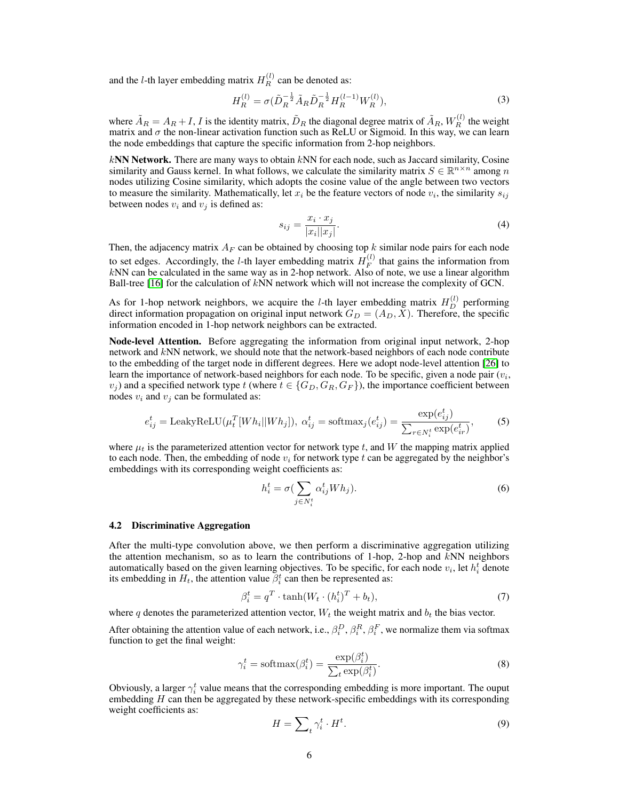and the *l*-th layer embedding matrix  $H_R^{(l)}$  can be denoted as:

$$
H_R^{(l)} = \sigma(\tilde{D}_R^{-\frac{1}{2}} \tilde{A}_R \tilde{D}_R^{-\frac{1}{2}} H_R^{(l-1)} W_R^{(l)}),\tag{3}
$$

where  $\tilde{A}_R = A_R + I$ , I is the identity matrix,  $\tilde{D}_R$  the diagonal degree matrix of  $\tilde{A}_R$ ,  $W_R^{(l)}$  the weight matrix and  $\sigma$  the non-linear activation function such as ReLU or Sigmoid. In this way, we can learn the node embeddings that capture the specific information from 2-hop neighbors.

 $kNN$  Network. There are many ways to obtain  $kNN$  for each node, such as Jaccard similarity, Cosine similarity and Gauss kernel. In what follows, we calculate the similarity matrix  $S \in \mathbb{R}^{n \times n}$  among n nodes utilizing Cosine similarity, which adopts the cosine value of the angle between two vectors to measure the similarity. Mathematically, let  $x_i$  be the feature vectors of node  $v_i$ , the similarity  $s_{ij}$ between nodes  $v_i$  and  $v_j$  is defined as:

$$
s_{ij} = \frac{x_i \cdot x_j}{|x_i||x_j|}.\tag{4}
$$

Then, the adjacency matrix  $A_F$  can be obtained by choosing top k similar node pairs for each node to set edges. Accordingly, the *l*-th layer embedding matrix  $H_F^{(l)}$  $F_F^{(t)}$  that gains the information from  $kNN$  can be calculated in the same way as in 2-hop network. Also of note, we use a linear algorithm Ball-tree  $[16]$  for the calculation of  $kNN$  network which will not increase the complexity of GCN.

As for 1-hop network neighbors, we acquire the *l*-th layer embedding matrix  $H_D^{(l)}$  performing direct information propagation on original input network  $G_D = (A_D, X)$ . Therefore, the specific information encoded in 1-hop network neighbors can be extracted.

Node-level Attention. Before aggregating the information from original input network, 2-hop network and kNN network, we should note that the network-based neighbors of each node contribute to the embedding of the target node in different degrees. Here we adopt node-level attention [\[26\]](#page-10-12) to learn the importance of network-based neighbors for each node. To be specific, given a node pair  $(v_i)$ ,  $v_i$ ) and a specified network type t (where  $t \in \{G_D, G_R, G_F\}$ ), the importance coefficient between nodes  $v_i$  and  $v_j$  can be formulated as:

$$
e_{ij}^t = \text{LeakyReLU}(\mu_t^T[Wh_i||Wh_j]), \ \alpha_{ij}^t = \text{softmax}_j(e_{ij}^t) = \frac{\exp(e_{ij}^t)}{\sum_{r \in N_i^t} \exp(e_{ir}^t)},\tag{5}
$$

where  $\mu_t$  is the parameterized attention vector for network type t, and W the mapping matrix applied to each node. Then, the embedding of node  $v_i$  for network type t can be aggregated by the neighbor's embeddings with its corresponding weight coefficients as:

$$
h_i^t = \sigma \left( \sum_{j \in N_i^t} \alpha_{ij}^t W h_j \right).
$$
 (6)

#### 4.2 Discriminative Aggregation

After the multi-type convolution above, we then perform a discriminative aggregation utilizing the attention mechanism, so as to learn the contributions of 1-hop, 2-hop and  $kNN$  neighbors automatically based on the given learning objectives. To be specific, for each node  $v_i$ , let  $h_i^t$  denote its embedding in  $H_t$ , the attention value  $\beta_i^t$  can then be represented as:

$$
\beta_i^t = q^T \cdot \tanh(W_t \cdot (h_i^t)^T + b_t),\tag{7}
$$

where q denotes the parameterized attention vector,  $W_t$  the weight matrix and  $b_t$  the bias vector.

After obtaining the attention value of each network, i.e.,  $\beta_i^D$ ,  $\beta_i^R$ ,  $\beta_i^F$ , we normalize them via softmax function to get the final weight:

$$
\gamma_i^t = \text{softmax}(\beta_i^t) = \frac{\exp(\beta_i^t)}{\sum_t \exp(\beta_i^t)}.
$$
\n(8)

Obviously, a larger  $\gamma_i^t$  value means that the corresponding embedding is more important. The ouput embedding  $H$  can then be aggregated by these network-specific embeddings with its corresponding weight coefficients as:

$$
H = \sum_{t} \gamma_i^t \cdot H^t. \tag{9}
$$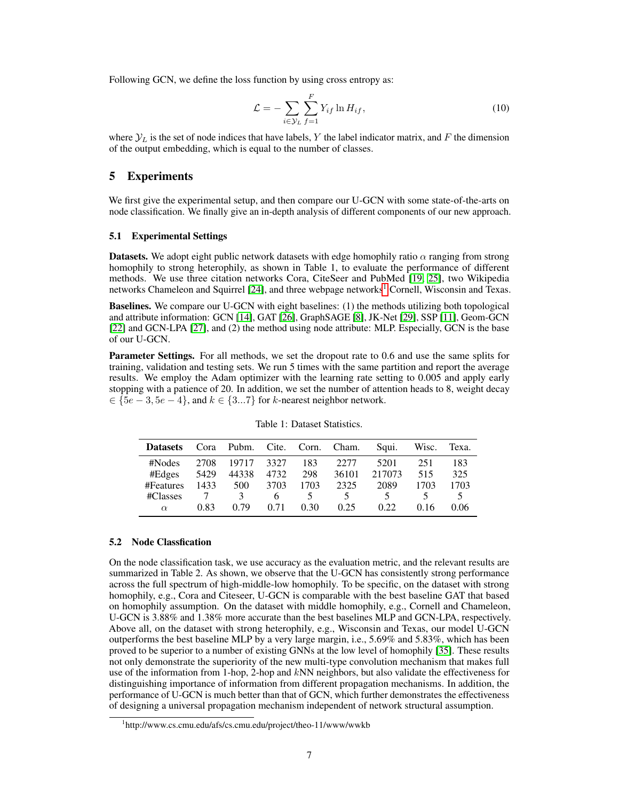Following GCN, we define the loss function by using cross entropy as:

$$
\mathcal{L} = -\sum_{i \in \mathcal{Y}_L} \sum_{f=1}^F Y_{if} \ln H_{if},\tag{10}
$$

where  $\mathcal{Y}_L$  is the set of node indices that have labels, Y the label indicator matrix, and F the dimension of the output embedding, which is equal to the number of classes.

### 5 Experiments

We first give the experimental setup, and then compare our U-GCN with some state-of-the-arts on node classification. We finally give an in-depth analysis of different components of our new approach.

#### 5.1 Experimental Settings

**Datasets.** We adopt eight public network datasets with edge homophily ratio  $\alpha$  ranging from strong homophily to strong heterophily, as shown in Table 1, to evaluate the performance of different methods. We use three citation networks Cora, CiteSeer and PubMed [\[19,](#page-10-13) [25\]](#page-10-14), two Wikipedia networks Chameleon and Squirrel [\[24\]](#page-10-15), and three webpage networks<sup>[1](#page-6-0)</sup> Cornell, Wisconsin and Texas.

Baselines. We compare our U-GCN with eight baselines: (1) the methods utilizing both topological and attribute information: GCN [\[14\]](#page-9-0), GAT [\[26\]](#page-10-12), GraphSAGE [\[8\]](#page-9-10), JK-Net [\[29\]](#page-10-9), SSP [\[11\]](#page-9-11), Geom-GCN [\[22\]](#page-10-10) and GCN-LPA [\[27\]](#page-10-16), and (2) the method using node attribute: MLP. Especially, GCN is the base of our U-GCN.

Parameter Settings. For all methods, we set the dropout rate to 0.6 and use the same splits for training, validation and testing sets. We run 5 times with the same partition and report the average results. We employ the Adam optimizer with the learning rate setting to 0.005 and apply early stopping with a patience of 20. In addition, we set the number of attention heads to 8, weight decay  $\in \{5e-3, 5e-4\}$ , and  $k \in \{3...7\}$  for k-nearest neighbor network.

| <b>Datasets</b> | Cora |               |      |      | Pubm. Cite. Corn. Cham. | Squi.  | Wisc. | Texa. |
|-----------------|------|---------------|------|------|-------------------------|--------|-------|-------|
| #Nodes          | 2708 | 19717         | 3327 | 183  | 22.77                   | 5201   | 251   | 183   |
| #Edges          | 5429 | 44338         | 4732 | 298  | 36101                   | 217073 | 515   | 325   |
| #Features       | 1433 | 500           | 3703 | 1703 | 2325                    | 2089   | 1703  | 1703  |
| #Classes        |      | $\mathcal{R}$ | h    |      | 5.                      |        |       |       |
| $\alpha$        | 0.83 | 0.79          | 0.71 | 0.30 | 0.25                    | 0.22.  | 0.16  | 0.06  |

Table 1: Dataset Statistics.

#### 5.2 Node Classfication

On the node classification task, we use accuracy as the evaluation metric, and the relevant results are summarized in Table 2. As shown, we observe that the U-GCN has consistently strong performance across the full spectrum of high-middle-low homophily. To be specific, on the dataset with strong homophily, e.g., Cora and Citeseer, U-GCN is comparable with the best baseline GAT that based on homophily assumption. On the dataset with middle homophily, e.g., Cornell and Chameleon, U-GCN is 3.88% and 1.38% more accurate than the best baselines MLP and GCN-LPA, respectively. Above all, on the dataset with strong heterophily, e.g., Wisconsin and Texas, our model U-GCN outperforms the best baseline MLP by a very large margin, i.e., 5.69% and 5.83%, which has been proved to be superior to a number of existing GNNs at the low level of homophily [\[35\]](#page-10-7). These results not only demonstrate the superiority of the new multi-type convolution mechanism that makes full use of the information from 1-hop, 2-hop and kNN neighbors, but also validate the effectiveness for distinguishing importance of information from different propagation mechanisms. In addition, the performance of U-GCN is much better than that of GCN, which further demonstrates the effectiveness of designing a universal propagation mechanism independent of network structural assumption.

<span id="page-6-0"></span><sup>1</sup> http://www.cs.cmu.edu/afs/cs.cmu.edu/project/theo-11/www/wwkb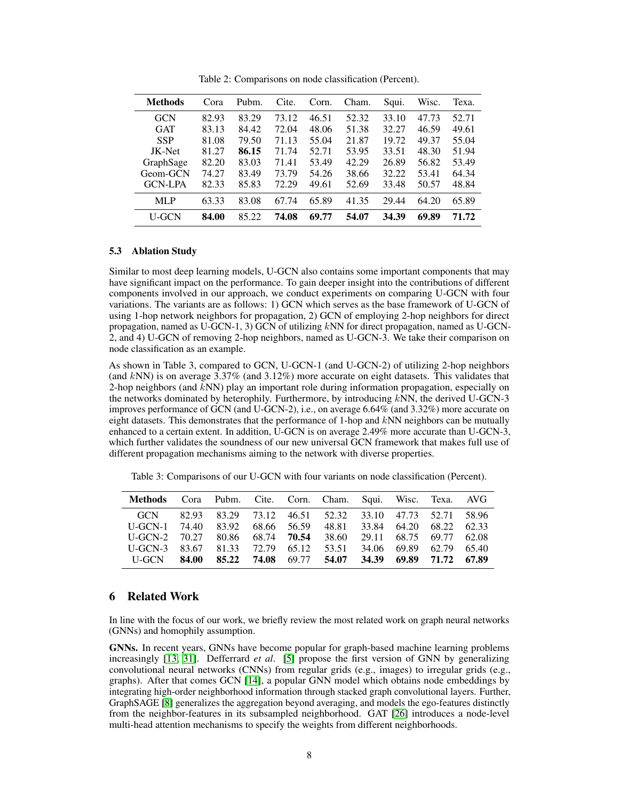| Methods        | Cora  | Pubm. | Cite. | Corn. | Cham. | Squi. | Wisc. | Texa. |
|----------------|-------|-------|-------|-------|-------|-------|-------|-------|
| <b>GCN</b>     | 82.93 | 83.29 | 73.12 | 46.51 | 52.32 | 33.10 | 47.73 | 52.71 |
| <b>GAT</b>     | 83.13 | 84.42 | 72.04 | 48.06 | 51.38 | 32.27 | 46.59 | 49.61 |
| <b>SSP</b>     | 81.08 | 79.50 | 71.13 | 55.04 | 21.87 | 19.72 | 49.37 | 55.04 |
| JK-Net         | 81.27 | 86.15 | 71.74 | 52.71 | 53.95 | 33.51 | 48.30 | 51.94 |
| GraphSage      | 82.20 | 83.03 | 71.41 | 53.49 | 42.29 | 26.89 | 56.82 | 53.49 |
| Geom-GCN       | 74.27 | 83.49 | 73.79 | 54.26 | 38.66 | 32.22 | 53.41 | 64.34 |
| <b>GCN-LPA</b> | 82.33 | 85.83 | 72.29 | 49.61 | 52.69 | 33.48 | 50.57 | 48.84 |
| <b>MLP</b>     | 63.33 | 83.08 | 67.74 | 65.89 | 41.35 | 29.44 | 64.20 | 65.89 |
| <b>U-GCN</b>   | 84.00 | 85.22 | 74.08 | 69.77 | 54.07 | 34.39 | 69.89 | 71.72 |

Table 2: Comparisons on node classification (Percent).

#### 5.3 Ablation Study

Similar to most deep learning models, U-GCN also contains some important components that may have significant impact on the performance. To gain deeper insight into the contributions of different components involved in our approach, we conduct experiments on comparing U-GCN with four variations. The variants are as follows: 1) GCN which serves as the base framework of U-GCN of using 1-hop network neighbors for propagation, 2) GCN of employing 2-hop neighbors for direct propagation, named as U-GCN-1, 3) GCN of utilizing kNN for direct propagation, named as U-GCN-2, and 4) U-GCN of removing 2-hop neighbors, named as U-GCN-3. We take their comparison on node classification as an example.

As shown in Table 3, compared to GCN, U-GCN-1 (and U-GCN-2) of utilizing 2-hop neighbors (and  $kNN$ ) is on average 3.37% (and 3.12%) more accurate on eight datasets. This validates that 2-hop neighbors (and  $kNN$ ) play an important role during information propagation, especially on the networks dominated by heterophily. Furthermore, by introducing  $kNN$ , the derived U-GCN-3 improves performance of GCN (and U-GCN-2), i.e., on average 6.64% (and 3.32%) more accurate on eight datasets. This demonstrates that the performance of 1-hop and  $kNN$  neighbors can be mutually enhanced to a certain extent. In addition, U-GCN is on average 2.49% more accurate than U-GCN-3, which further validates the soundness of our new universal GCN framework that makes full use of different propagation mechanisms aiming to the network with diverse properties.

| Methods Cora Pubm. Cite. Corn. Cham. Squi. Wisc. Texa. AVG  |  |  |                                                           |  |                               |  |
|-------------------------------------------------------------|--|--|-----------------------------------------------------------|--|-------------------------------|--|
|                                                             |  |  | GCN 82.93 83.29 73.12 46.51 52.32 33.10 47.73 52.71 58.96 |  |                               |  |
| U-GCN-1 74.40 83.92 68.66 56.59                             |  |  |                                                           |  | 48.81 33.84 64.20 68.22 62.33 |  |
| U-GCN-2 70.27 80.86 68.74 <b>70.54</b>                      |  |  |                                                           |  | 38.60 29.11 68.75 69.77 62.08 |  |
| U-GCN-3 83.67 81.33 72.79 65.12                             |  |  | 53.51                                                     |  | 34.06 69.89 62.79 65.40       |  |
| U-GCN 84.00 85.22 74.08 69.77 54.07 34.39 69.89 71.72 67.89 |  |  |                                                           |  |                               |  |

Table 3: Comparisons of our U-GCN with four variants on node classification (Percent).

# 6 Related Work

In line with the focus of our work, we briefly review the most related work on graph neural networks (GNNs) and homophily assumption.

GNNs. In recent years, GNNs have become popular for graph-based machine learning problems increasingly [\[13,](#page-9-12) [31\]](#page-10-17). Defferrard *et al*. [\[5\]](#page-9-13) propose the first version of GNN by generalizing convolutional neural networks (CNNs) from regular grids (e.g., images) to irregular grids (e.g., graphs). After that comes GCN [\[14\]](#page-9-0), a popular GNN model which obtains node embeddings by integrating high-order neighborhood information through stacked graph convolutional layers. Further, GraphSAGE [\[8\]](#page-9-10) generalizes the aggregation beyond averaging, and models the ego-features distinctly from the neighbor-features in its subsampled neighborhood. GAT [\[26\]](#page-10-12) introduces a node-level multi-head attention mechanisms to specify the weights from different neighborhoods.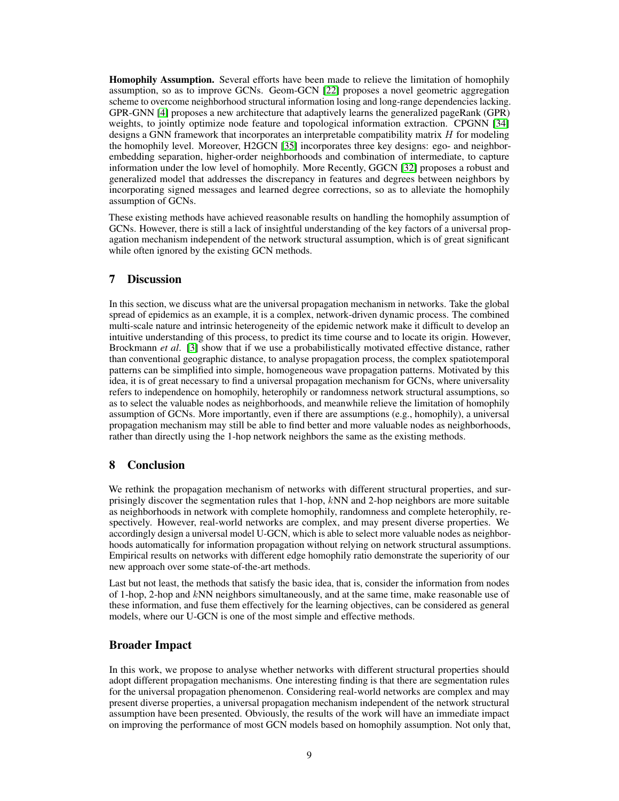Homophily Assumption. Several efforts have been made to relieve the limitation of homophily assumption, so as to improve GCNs. Geom-GCN [\[22\]](#page-10-10) proposes a novel geometric aggregation scheme to overcome neighborhood structural information losing and long-range dependencies lacking. GPR-GNN [\[4\]](#page-9-4) proposes a new architecture that adaptively learns the generalized pageRank (GPR) weights, to jointly optimize node feature and topological information extraction. CPGNN [\[34\]](#page-10-18) designs a GNN framework that incorporates an interpretable compatibility matrix H for modeling the homophily level. Moreover, H2GCN [\[35\]](#page-10-7) incorporates three key designs: ego- and neighborembedding separation, higher-order neighborhoods and combination of intermediate, to capture information under the low level of homophily. More Recently, GGCN [\[32\]](#page-10-19) proposes a robust and generalized model that addresses the discrepancy in features and degrees between neighbors by incorporating signed messages and learned degree corrections, so as to alleviate the homophily assumption of GCNs.

These existing methods have achieved reasonable results on handling the homophily assumption of GCNs. However, there is still a lack of insightful understanding of the key factors of a universal propagation mechanism independent of the network structural assumption, which is of great significant while often ignored by the existing GCN methods.

# 7 Discussion

In this section, we discuss what are the universal propagation mechanism in networks. Take the global spread of epidemics as an example, it is a complex, network-driven dynamic process. The combined multi-scale nature and intrinsic heterogeneity of the epidemic network make it difficult to develop an intuitive understanding of this process, to predict its time course and to locate its origin. However, Brockmann *et al*. [\[3\]](#page-9-14) show that if we use a probabilistically motivated effective distance, rather than conventional geographic distance, to analyse propagation process, the complex spatiotemporal patterns can be simplified into simple, homogeneous wave propagation patterns. Motivated by this idea, it is of great necessary to find a universal propagation mechanism for GCNs, where universality refers to independence on homophily, heterophily or randomness network structural assumptions, so as to select the valuable nodes as neighborhoods, and meanwhile relieve the limitation of homophily assumption of GCNs. More importantly, even if there are assumptions (e.g., homophily), a universal propagation mechanism may still be able to find better and more valuable nodes as neighborhoods, rather than directly using the 1-hop network neighbors the same as the existing methods.

# 8 Conclusion

We rethink the propagation mechanism of networks with different structural properties, and surprisingly discover the segmentation rules that 1-hop,  $kNN$  and 2-hop neighbors are more suitable as neighborhoods in network with complete homophily, randomness and complete heterophily, respectively. However, real-world networks are complex, and may present diverse properties. We accordingly design a universal model U-GCN, which is able to select more valuable nodes as neighborhoods automatically for information propagation without relying on network structural assumptions. Empirical results on networks with different edge homophily ratio demonstrate the superiority of our new approach over some state-of-the-art methods.

Last but not least, the methods that satisfy the basic idea, that is, consider the information from nodes of 1-hop, 2-hop and  $kNN$  neighbors simultaneously, and at the same time, make reasonable use of these information, and fuse them effectively for the learning objectives, can be considered as general models, where our U-GCN is one of the most simple and effective methods.

## Broader Impact

In this work, we propose to analyse whether networks with different structural properties should adopt different propagation mechanisms. One interesting finding is that there are segmentation rules for the universal propagation phenomenon. Considering real-world networks are complex and may present diverse properties, a universal propagation mechanism independent of the network structural assumption have been presented. Obviously, the results of the work will have an immediate impact on improving the performance of most GCN models based on homophily assumption. Not only that,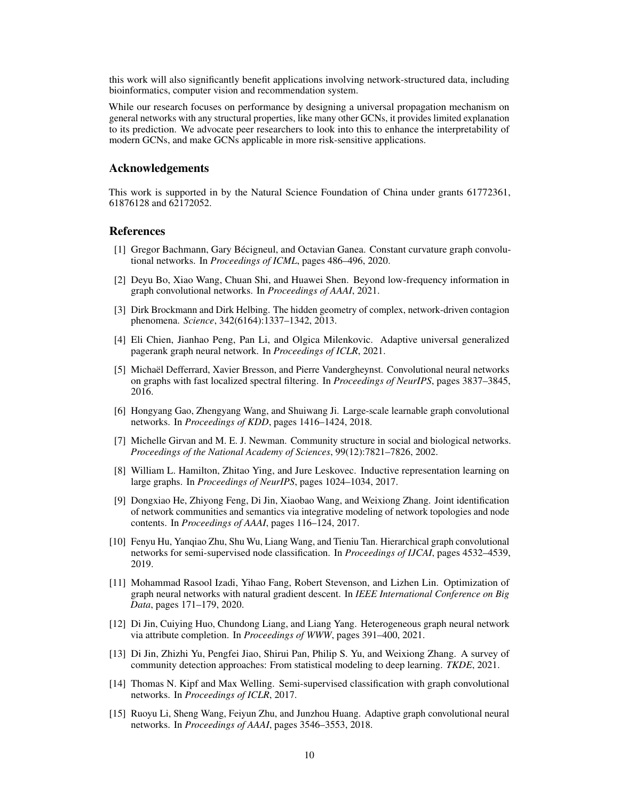this work will also significantly benefit applications involving network-structured data, including bioinformatics, computer vision and recommendation system.

While our research focuses on performance by designing a universal propagation mechanism on general networks with any structural properties, like many other GCNs, it provides limited explanation to its prediction. We advocate peer researchers to look into this to enhance the interpretability of modern GCNs, and make GCNs applicable in more risk-sensitive applications.

### Acknowledgements

This work is supported in by the Natural Science Foundation of China under grants 61772361, 61876128 and 62172052.

### References

- <span id="page-9-1"></span>[1] Gregor Bachmann, Gary Bécigneul, and Octavian Ganea. Constant curvature graph convolutional networks. In *Proceedings of ICML*, pages 486–496, 2020.
- <span id="page-9-5"></span>[2] Deyu Bo, Xiao Wang, Chuan Shi, and Huawei Shen. Beyond low-frequency information in graph convolutional networks. In *Proceedings of AAAI*, 2021.
- <span id="page-9-14"></span>[3] Dirk Brockmann and Dirk Helbing. The hidden geometry of complex, network-driven contagion phenomena. *Science*, 342(6164):1337–1342, 2013.
- <span id="page-9-4"></span>[4] Eli Chien, Jianhao Peng, Pan Li, and Olgica Milenkovic. Adaptive universal generalized pagerank graph neural network. In *Proceedings of ICLR*, 2021.
- <span id="page-9-13"></span>[5] Michaël Defferrard, Xavier Bresson, and Pierre Vandergheynst. Convolutional neural networks on graphs with fast localized spectral filtering. In *Proceedings of NeurIPS*, pages 3837–3845, 2016.
- <span id="page-9-2"></span>[6] Hongyang Gao, Zhengyang Wang, and Shuiwang Ji. Large-scale learnable graph convolutional networks. In *Proceedings of KDD*, pages 1416–1424, 2018.
- <span id="page-9-8"></span>[7] Michelle Girvan and M. E. J. Newman. Community structure in social and biological networks. *Proceedings of the National Academy of Sciences*, 99(12):7821–7826, 2002.
- <span id="page-9-10"></span>[8] William L. Hamilton, Zhitao Ying, and Jure Leskovec. Inductive representation learning on large graphs. In *Proceedings of NeurIPS*, pages 1024–1034, 2017.
- <span id="page-9-9"></span>[9] Dongxiao He, Zhiyong Feng, Di Jin, Xiaobao Wang, and Weixiong Zhang. Joint identification of network communities and semantics via integrative modeling of network topologies and node contents. In *Proceedings of AAAI*, pages 116–124, 2017.
- <span id="page-9-6"></span>[10] Fenyu Hu, Yanqiao Zhu, Shu Wu, Liang Wang, and Tieniu Tan. Hierarchical graph convolutional networks for semi-supervised node classification. In *Proceedings of IJCAI*, pages 4532–4539, 2019.
- <span id="page-9-11"></span>[11] Mohammad Rasool Izadi, Yihao Fang, Robert Stevenson, and Lizhen Lin. Optimization of graph neural networks with natural gradient descent. In *IEEE International Conference on Big Data*, pages 171–179, 2020.
- <span id="page-9-3"></span>[12] Di Jin, Cuiying Huo, Chundong Liang, and Liang Yang. Heterogeneous graph neural network via attribute completion. In *Proceedings of WWW*, pages 391–400, 2021.
- <span id="page-9-12"></span>[13] Di Jin, Zhizhi Yu, Pengfei Jiao, Shirui Pan, Philip S. Yu, and Weixiong Zhang. A survey of community detection approaches: From statistical modeling to deep learning. *TKDE*, 2021.
- <span id="page-9-0"></span>[14] Thomas N. Kipf and Max Welling. Semi-supervised classification with graph convolutional networks. In *Proceedings of ICLR*, 2017.
- <span id="page-9-7"></span>[15] Ruoyu Li, Sheng Wang, Feiyun Zhu, and Junzhou Huang. Adaptive graph convolutional neural networks. In *Proceedings of AAAI*, pages 3546–3553, 2018.